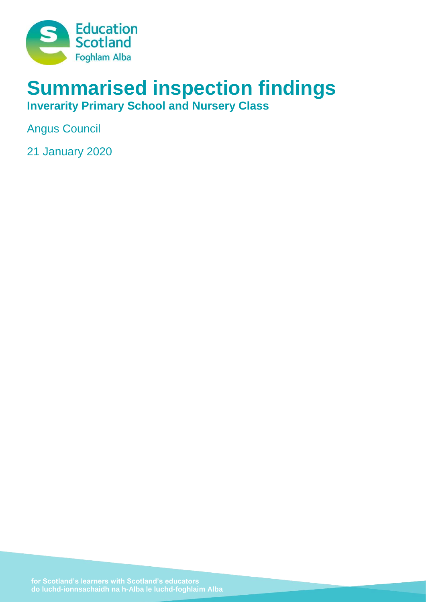

# **Summarised inspection findings**

**Inverarity Primary School and Nursery Class**

Angus Council

21 January 2020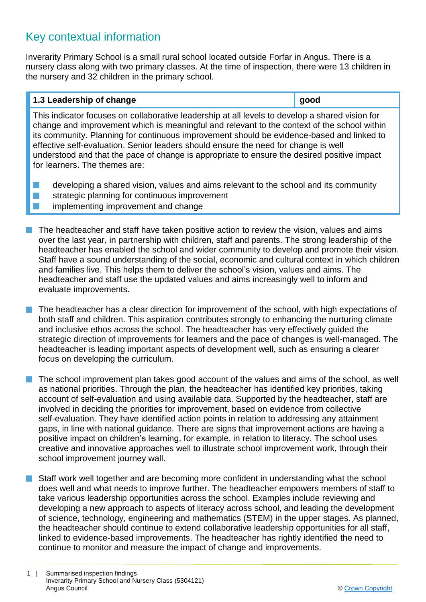# Key contextual information

Inverarity Primary School is a small rural school located outside Forfar in Angus. There is a nursery class along with two primary classes. At the time of inspection, there were 13 children in the nursery and 32 children in the primary school.

# **1.3 Leadership of change good**

This indicator focuses on collaborative leadership at all levels to develop a shared vision for change and improvement which is meaningful and relevant to the context of the school within its community. Planning for continuous improvement should be evidence-based and linked to effective self-evaluation. Senior leaders should ensure the need for change is well understood and that the pace of change is appropriate to ensure the desired positive impact for learners. The themes are:

- $\blacksquare$  developing a shared vision, values and aims relevant to the school and its community
- $\blacksquare$  strategic planning for continuous improvement
- $\blacksquare$  implementing improvement and change
- **n** The headteacher and staff have taken positive action to review the vision, values and aims over the last year, in partnership with children, staff and parents. The strong leadership of the headteacher has enabled the school and wider community to develop and promote their vision. Staff have a sound understanding of the social, economic and cultural context in which children and families live. This helps them to deliver the school's vision, values and aims. The headteacher and staff use the updated values and aims increasingly well to inform and evaluate improvements.
- The headteacher has a clear direction for improvement of the school, with high expectations of both staff and children. This aspiration contributes strongly to enhancing the nurturing climate and inclusive ethos across the school. The headteacher has very effectively guided the strategic direction of improvements for learners and the pace of changes is well-managed. The headteacher is leading important aspects of development well, such as ensuring a clearer focus on developing the curriculum.

The school improvement plan takes good account of the values and aims of the school, as well as national priorities. Through the plan, the headteacher has identified key priorities, taking account of self-evaluation and using available data. Supported by the headteacher, staff are involved in deciding the priorities for improvement, based on evidence from collective self-evaluation. They have identified action points in relation to addressing any attainment gaps, in line with national guidance. There are signs that improvement actions are having a positive impact on children's learning, for example, in relation to literacy. The school uses creative and innovative approaches well to illustrate school improvement work, through their school improvement journey wall.

**n** Staff work well together and are becoming more confident in understanding what the school does well and what needs to improve further. The headteacher empowers members of staff to take various leadership opportunities across the school. Examples include reviewing and developing a new approach to aspects of literacy across school, and leading the development of science, technology, engineering and mathematics (STEM) in the upper stages. As planned, the headteacher should continue to extend collaborative leadership opportunities for all staff, linked to evidence-based improvements. The headteacher has rightly identified the need to continue to monitor and measure the impact of change and improvements.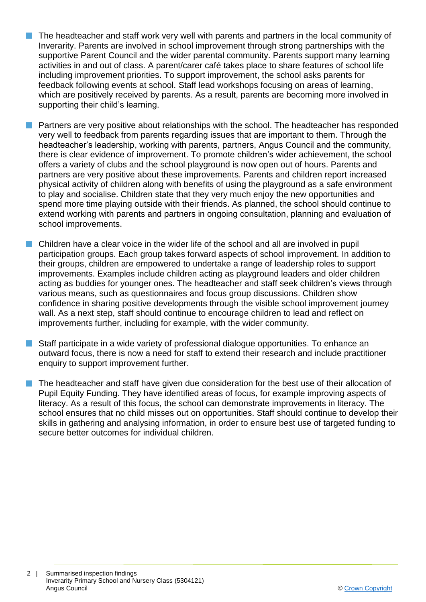- $\blacksquare$  The headteacher and staff work very well with parents and partners in the local community of Inverarity. Parents are involved in school improvement through strong partnerships with the supportive Parent Council and the wider parental community. Parents support many learning activities in and out of class. A parent/carer café takes place to share features of school life including improvement priorities. To support improvement, the school asks parents for feedback following events at school. Staff lead workshops focusing on areas of learning, which are positively received by parents. As a result, parents are becoming more involved in supporting their child's learning.
- **n** Partners are very positive about relationships with the school. The headteacher has responded very well to feedback from parents regarding issues that are important to them. Through the headteacher's leadership, working with parents, partners, Angus Council and the community, there is clear evidence of improvement. To promote children's wider achievement, the school offers a variety of clubs and the school playground is now open out of hours. Parents and partners are very positive about these improvements. Parents and children report increased physical activity of children along with benefits of using the playground as a safe environment to play and socialise. Children state that they very much enjoy the new opportunities and spend more time playing outside with their friends. As planned, the school should continue to extend working with parents and partners in ongoing consultation, planning and evaluation of school improvements.
- $\blacksquare$  Children have a clear voice in the wider life of the school and all are involved in pupil participation groups. Each group takes forward aspects of school improvement. In addition to their groups, children are empowered to undertake a range of leadership roles to support improvements. Examples include children acting as playground leaders and older children acting as buddies for younger ones. The headteacher and staff seek children's views through various means, such as questionnaires and focus group discussions. Children show confidence in sharing positive developments through the visible school improvement journey wall. As a next step, staff should continue to encourage children to lead and reflect on improvements further, including for example, with the wider community.
- $\blacksquare$  Staff participate in a wide variety of professional dialogue opportunities. To enhance an outward focus, there is now a need for staff to extend their research and include practitioner enquiry to support improvement further.
- The headteacher and staff have given due consideration for the best use of their allocation of Pupil Equity Funding. They have identified areas of focus, for example improving aspects of literacy. As a result of this focus, the school can demonstrate improvements in literacy. The school ensures that no child misses out on opportunities. Staff should continue to develop their skills in gathering and analysing information, in order to ensure best use of targeted funding to secure better outcomes for individual children.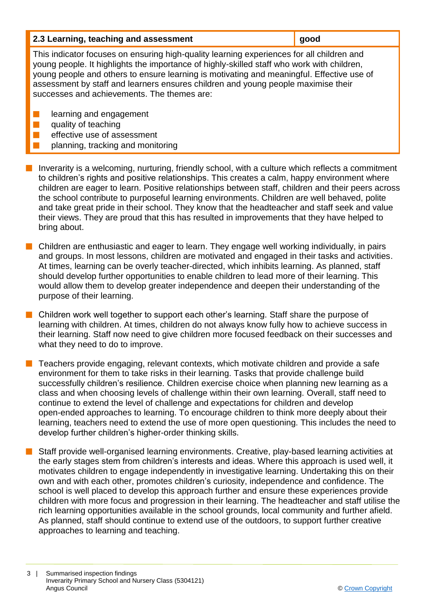| 2.3 Learning, teaching and assessment | $\vert$ good |
|---------------------------------------|--------------|
|---------------------------------------|--------------|

This indicator focuses on ensuring high-quality learning experiences for all children and young people. It highlights the importance of highly-skilled staff who work with children, young people and others to ensure learning is motivating and meaningful. Effective use of assessment by staff and learners ensures children and young people maximise their successes and achievements. The themes are:

- **n** learning and engagement
- $\blacksquare$  quality of teaching
	- effective use of assessment
- planning, tracking and monitoring
- **n** Inverarity is a welcoming, nurturing, friendly school, with a culture which reflects a commitment to children's rights and positive relationships. This creates a calm, happy environment where children are eager to learn. Positive relationships between staff, children and their peers across the school contribute to purposeful learning environments. Children are well behaved, polite and take great pride in their school. They know that the headteacher and staff seek and value their views. They are proud that this has resulted in improvements that they have helped to bring about.
- $\blacksquare$  Children are enthusiastic and eager to learn. They engage well working individually, in pairs and groups. In most lessons, children are motivated and engaged in their tasks and activities. At times, learning can be overly teacher-directed, which inhibits learning. As planned, staff should develop further opportunities to enable children to lead more of their learning. This would allow them to develop greater independence and deepen their understanding of the purpose of their learning.
- $\blacksquare$  Children work well together to support each other's learning. Staff share the purpose of learning with children. At times, children do not always know fully how to achieve success in their learning. Staff now need to give children more focused feedback on their successes and what they need to do to improve.
- n Teachers provide engaging, relevant contexts, which motivate children and provide a safe environment for them to take risks in their learning. Tasks that provide challenge build successfully children's resilience. Children exercise choice when planning new learning as a class and when choosing levels of challenge within their own learning. Overall, staff need to continue to extend the level of challenge and expectations for children and develop open-ended approaches to learning. To encourage children to think more deeply about their learning, teachers need to extend the use of more open questioning. This includes the need to develop further children's higher-order thinking skills.
- Staff provide well-organised learning environments. Creative, play-based learning activities at the early stages stem from children's interests and ideas. Where this approach is used well, it motivates children to engage independently in investigative learning. Undertaking this on their own and with each other, promotes children's curiosity, independence and confidence. The school is well placed to develop this approach further and ensure these experiences provide children with more focus and progression in their learning. The headteacher and staff utilise the rich learning opportunities available in the school grounds, local community and further afield. As planned, staff should continue to extend use of the outdoors, to support further creative approaches to learning and teaching.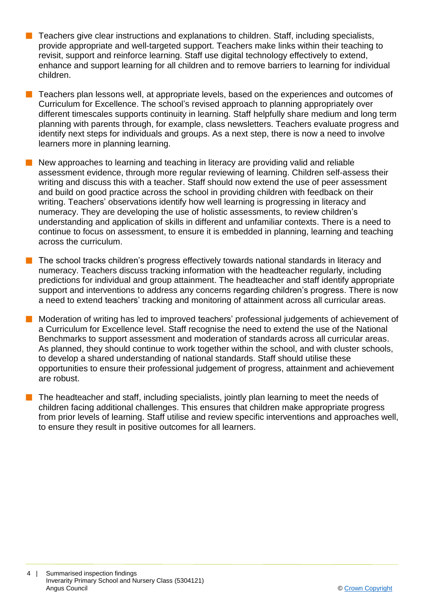- $\blacksquare$  Teachers give clear instructions and explanations to children. Staff, including specialists, provide appropriate and well-targeted support. Teachers make links within their teaching to revisit, support and reinforce learning. Staff use digital technology effectively to extend, enhance and support learning for all children and to remove barriers to learning for individual children.
- $\blacksquare$  Teachers plan lessons well, at appropriate levels, based on the experiences and outcomes of Curriculum for Excellence. The school's revised approach to planning appropriately over different timescales supports continuity in learning. Staff helpfully share medium and long term planning with parents through, for example, class newsletters. Teachers evaluate progress and identify next steps for individuals and groups. As a next step, there is now a need to involve learners more in planning learning.
- n New approaches to learning and teaching in literacy are providing valid and reliable assessment evidence, through more regular reviewing of learning. Children self-assess their writing and discuss this with a teacher. Staff should now extend the use of peer assessment and build on good practice across the school in providing children with feedback on their writing. Teachers' observations identify how well learning is progressing in literacy and numeracy. They are developing the use of holistic assessments, to review children's understanding and application of skills in different and unfamiliar contexts. There is a need to continue to focus on assessment, to ensure it is embedded in planning, learning and teaching across the curriculum.
- $\blacksquare$  The school tracks children's progress effectively towards national standards in literacy and numeracy. Teachers discuss tracking information with the headteacher regularly, including predictions for individual and group attainment. The headteacher and staff identify appropriate support and interventions to address any concerns regarding children's progress. There is now a need to extend teachers' tracking and monitoring of attainment across all curricular areas.
- n Moderation of writing has led to improved teachers' professional judgements of achievement of a Curriculum for Excellence level. Staff recognise the need to extend the use of the National Benchmarks to support assessment and moderation of standards across all curricular areas. As planned, they should continue to work together within the school, and with cluster schools, to develop a shared understanding of national standards. Staff should utilise these opportunities to ensure their professional judgement of progress, attainment and achievement are robust.
- The headteacher and staff, including specialists, jointly plan learning to meet the needs of children facing additional challenges. This ensures that children make appropriate progress from prior levels of learning. Staff utilise and review specific interventions and approaches well, to ensure they result in positive outcomes for all learners.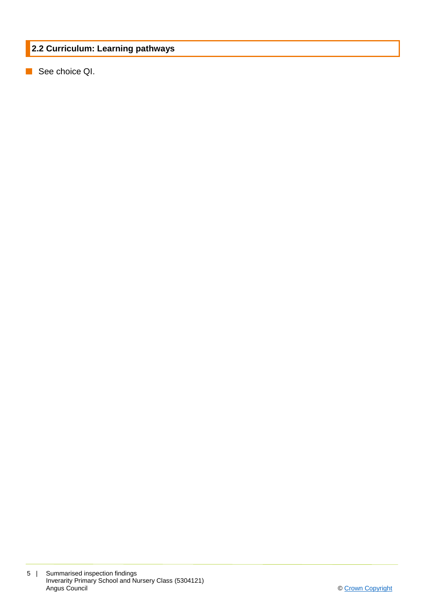# **2.2 Curriculum: Learning pathways**

**n** See choice QI.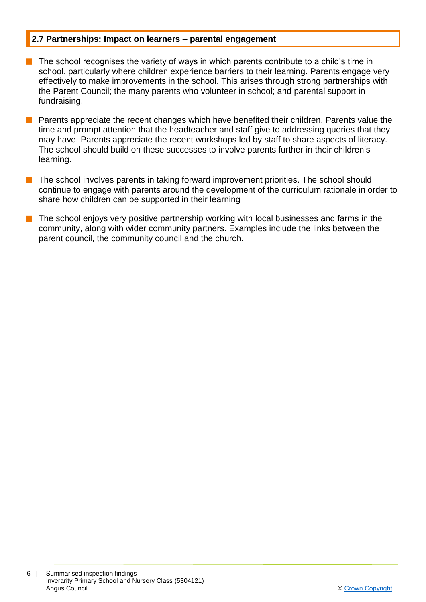## **2.7 Partnerships: Impact on learners – parental engagement**

- $\blacksquare$  The school recognises the variety of ways in which parents contribute to a child's time in school, particularly where children experience barriers to their learning. Parents engage very effectively to make improvements in the school. This arises through strong partnerships with the Parent Council; the many parents who volunteer in school; and parental support in fundraising.
- $\blacksquare$  Parents appreciate the recent changes which have benefited their children. Parents value the time and prompt attention that the headteacher and staff give to addressing queries that they may have. Parents appreciate the recent workshops led by staff to share aspects of literacy. The school should build on these successes to involve parents further in their children's learning.
- The school involves parents in taking forward improvement priorities. The school should continue to engage with parents around the development of the curriculum rationale in order to share how children can be supported in their learning
- The school enjoys very positive partnership working with local businesses and farms in the community, along with wider community partners. Examples include the links between the parent council, the community council and the church.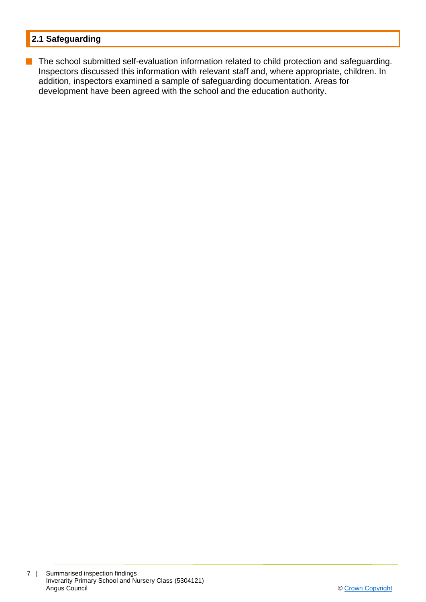# **2.1 Safeguarding**

**n** The school submitted self-evaluation information related to child protection and safeguarding. Inspectors discussed this information with relevant staff and, where appropriate, children. In addition, inspectors examined a sample of safeguarding documentation. Areas for development have been agreed with the school and the education authority.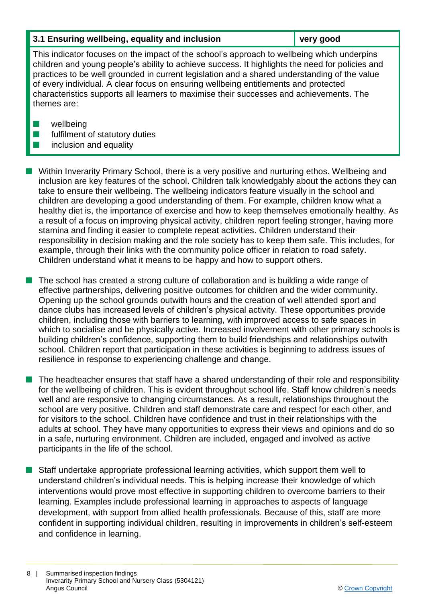# **3.1 Ensuring wellbeing, equality and inclusion very good**

This indicator focuses on the impact of the school's approach to wellbeing which underpins children and young people's ability to achieve success. It highlights the need for policies and practices to be well grounded in current legislation and a shared understanding of the value of every individual. A clear focus on ensuring wellbeing entitlements and protected characteristics supports all learners to maximise their successes and achievements. The themes are:

- $\blacksquare$  wellbeing
- $\blacksquare$  fulfilment of statutory duties
- $\blacksquare$  inclusion and equality

 $\blacksquare$  Within Inverarity Primary School, there is a very positive and nurturing ethos. Wellbeing and inclusion are key features of the school. Children talk knowledgably about the actions they can take to ensure their wellbeing. The wellbeing indicators feature visually in the school and children are developing a good understanding of them. For example, children know what a healthy diet is, the importance of exercise and how to keep themselves emotionally healthy. As a result of a focus on improving physical activity, children report feeling stronger, having more stamina and finding it easier to complete repeat activities. Children understand their responsibility in decision making and the role society has to keep them safe. This includes, for example, through their links with the community police officer in relation to road safety. Children understand what it means to be happy and how to support others.

The school has created a strong culture of collaboration and is building a wide range of effective partnerships, delivering positive outcomes for children and the wider community. Opening up the school grounds outwith hours and the creation of well attended sport and dance clubs has increased levels of children's physical activity. These opportunities provide children, including those with barriers to learning, with improved access to safe spaces in which to socialise and be physically active. Increased involvement with other primary schools is building children's confidence, supporting them to build friendships and relationships outwith school. Children report that participation in these activities is beginning to address issues of resilience in response to experiencing challenge and change.

 $\blacksquare$  The headteacher ensures that staff have a shared understanding of their role and responsibility for the wellbeing of children. This is evident throughout school life. Staff know children's needs well and are responsive to changing circumstances. As a result, relationships throughout the school are very positive. Children and staff demonstrate care and respect for each other, and for visitors to the school. Children have confidence and trust in their relationships with the adults at school. They have many opportunities to express their views and opinions and do so in a safe, nurturing environment. Children are included, engaged and involved as active participants in the life of the school.

 $\blacksquare$  Staff undertake appropriate professional learning activities, which support them well to understand children's individual needs. This is helping increase their knowledge of which interventions would prove most effective in supporting children to overcome barriers to their learning. Examples include professional learning in approaches to aspects of language development, with support from allied health professionals. Because of this, staff are more confident in supporting individual children, resulting in improvements in children's self-esteem and confidence in learning.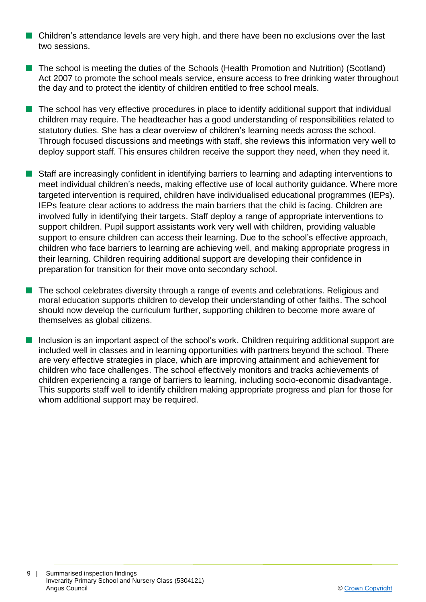- **n** Children's attendance levels are very high, and there have been no exclusions over the last two sessions.
- The school is meeting the duties of the Schools (Health Promotion and Nutrition) (Scotland) Act 2007 to promote the school meals service, ensure access to free drinking water throughout the day and to protect the identity of children entitled to free school meals.
- $\blacksquare$  The school has very effective procedures in place to identify additional support that individual children may require. The headteacher has a good understanding of responsibilities related to statutory duties. She has a clear overview of children's learning needs across the school. Through focused discussions and meetings with staff, she reviews this information very well to deploy support staff. This ensures children receive the support they need, when they need it.
- Staff are increasingly confident in identifying barriers to learning and adapting interventions to meet individual children's needs, making effective use of local authority guidance. Where more targeted intervention is required, children have individualised educational programmes (IEPs). IEPs feature clear actions to address the main barriers that the child is facing. Children are involved fully in identifying their targets. Staff deploy a range of appropriate interventions to support children. Pupil support assistants work very well with children, providing valuable support to ensure children can access their learning. Due to the school's effective approach, children who face barriers to learning are achieving well, and making appropriate progress in their learning. Children requiring additional support are developing their confidence in preparation for transition for their move onto secondary school.
- n The school celebrates diversity through a range of events and celebrations. Religious and moral education supports children to develop their understanding of other faiths. The school should now develop the curriculum further, supporting children to become more aware of themselves as global citizens.
- Inclusion is an important aspect of the school's work. Children requiring additional support are included well in classes and in learning opportunities with partners beyond the school. There are very effective strategies in place, which are improving attainment and achievement for children who face challenges. The school effectively monitors and tracks achievements of children experiencing a range of barriers to learning, including socio-economic disadvantage. This supports staff well to identify children making appropriate progress and plan for those for whom additional support may be required.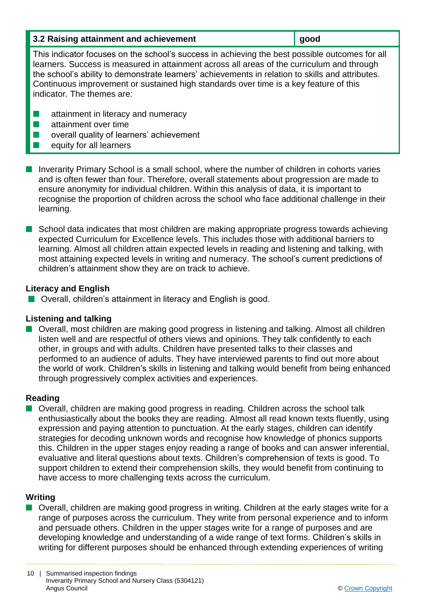| 3.2 Raising attainment and achievement | ⊿ good |
|----------------------------------------|--------|
|----------------------------------------|--------|

This indicator focuses on the school's success in achieving the best possible outcomes for all learners. Success is measured in attainment across all areas of the curriculum and through the school's ability to demonstrate learners' achievements in relation to skills and attributes. Continuous improvement or sustained high standards over time is a key feature of this indicator. The themes are:

- $\blacksquare$  attainment in literacy and numeracy
- $\blacksquare$  attainment over time
- $\blacksquare$  overall quality of learners' achievement
- $\blacksquare$  equity for all learners
- **n** Inverarity Primary School is a small school, where the number of children in cohorts varies and is often fewer than four. Therefore, overall statements about progression are made to ensure anonymity for individual children. Within this analysis of data, it is important to recognise the proportion of children across the school who face additional challenge in their learning.
- $\blacksquare$  School data indicates that most children are making appropriate progress towards achieving expected Curriculum for Excellence levels. This includes those with additional barriers to learning. Almost all children attain expected levels in reading and listening and talking, with most attaining expected levels in writing and numeracy. The school's current predictions of children's attainment show they are on track to achieve.

## **Literacy and English**

■ Overall, children's attainment in literacy and English is good.

# **Listening and talking**

■ Overall, most children are making good progress in listening and talking. Almost all children listen well and are respectful of others views and opinions. They talk confidently to each other, in groups and with adults. Children have presented talks to their classes and performed to an audience of adults. They have interviewed parents to find out more about the world of work. Children's skills in listening and talking would benefit from being enhanced through progressively complex activities and experiences.

# **Reading**

■ Overall, children are making good progress in reading. Children across the school talk enthusiastically about the books they are reading. Almost all read known texts fluently, using expression and paying attention to punctuation. At the early stages, children can identify strategies for decoding unknown words and recognise how knowledge of phonics supports this. Children in the upper stages enjoy reading a range of books and can answer inferential, evaluative and literal questions about texts. Children's comprehension of texts is good. To support children to extend their comprehension skills, they would benefit from continuing to have access to more challenging texts across the curriculum.

# **Writing**

■ Overall, children are making good progress in writing. Children at the early stages write for a range of purposes across the curriculum. They write from personal experience and to inform and persuade others. Children in the upper stages write for a range of purposes and are developing knowledge and understanding of a wide range of text forms. Children's skills in writing for different purposes should be enhanced through extending experiences of writing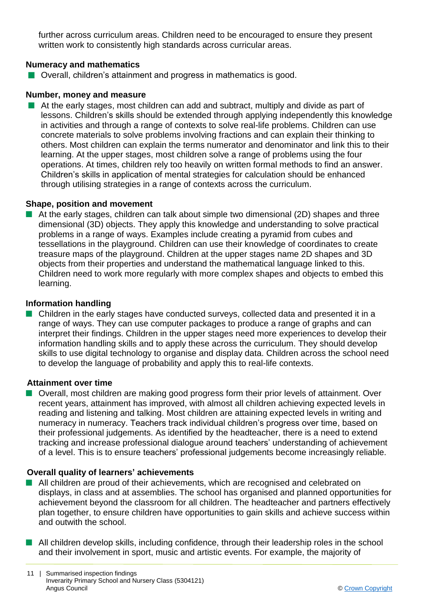further across curriculum areas. Children need to be encouraged to ensure they present written work to consistently high standards across curricular areas.

## **Numeracy and mathematics**

 $\blacksquare$  Overall, children's attainment and progress in mathematics is good.

## **Number, money and measure**

 $\blacksquare$  At the early stages, most children can add and subtract, multiply and divide as part of lessons. Children's skills should be extended through applying independently this knowledge in activities and through a range of contexts to solve real-life problems. Children can use concrete materials to solve problems involving fractions and can explain their thinking to others. Most children can explain the terms numerator and denominator and link this to their learning. At the upper stages, most children solve a range of problems using the four operations. At times, children rely too heavily on written formal methods to find an answer. Children's skills in application of mental strategies for calculation should be enhanced through utilising strategies in a range of contexts across the curriculum.

## **Shape, position and movement**

 $\blacksquare$  At the early stages, children can talk about simple two dimensional (2D) shapes and three dimensional (3D) objects. They apply this knowledge and understanding to solve practical problems in a range of ways. Examples include creating a pyramid from cubes and tessellations in the playground. Children can use their knowledge of coordinates to create treasure maps of the playground. Children at the upper stages name 2D shapes and 3D objects from their properties and understand the mathematical language linked to this. Children need to work more regularly with more complex shapes and objects to embed this learning.

#### **Information handling**

 $\blacksquare$  Children in the early stages have conducted surveys, collected data and presented it in a range of ways. They can use computer packages to produce a range of graphs and can interpret their findings. Children in the upper stages need more experiences to develop their information handling skills and to apply these across the curriculum. They should develop skills to use digital technology to organise and display data. Children across the school need to develop the language of probability and apply this to real-life contexts.

#### **Attainment over time**

■ Overall, most children are making good progress form their prior levels of attainment. Over recent years, attainment has improved, with almost all children achieving expected levels in reading and listening and talking. Most children are attaining expected levels in writing and numeracy in numeracy. Teachers track individual children's progress over time, based on their professional judgements. As identified by the headteacher, there is a need to extend tracking and increase professional dialogue around teachers' understanding of achievement of a level. This is to ensure teachers' professional judgements become increasingly reliable.

## **Overall quality of learners' achievements**

- All children are proud of their achievements, which are recognised and celebrated on displays, in class and at assemblies. The school has organised and planned opportunities for achievement beyond the classroom for all children. The headteacher and partners effectively plan together, to ensure children have opportunities to gain skills and achieve success within and outwith the school.
- $\blacksquare$  All children develop skills, including confidence, through their leadership roles in the school and their involvement in sport, music and artistic events. For example, the majority of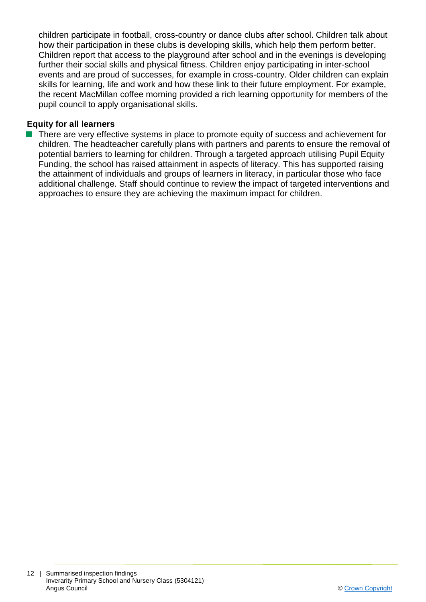children participate in football, cross-country or dance clubs after school. Children talk about how their participation in these clubs is developing skills, which help them perform better. Children report that access to the playground after school and in the evenings is developing further their social skills and physical fitness. Children enjoy participating in inter-school events and are proud of successes, for example in cross-country. Older children can explain skills for learning, life and work and how these link to their future employment. For example, the recent MacMillan coffee morning provided a rich learning opportunity for members of the pupil council to apply organisational skills.

# **Equity for all learners**

■ There are very effective systems in place to promote equity of success and achievement for children. The headteacher carefully plans with partners and parents to ensure the removal of potential barriers to learning for children. Through a targeted approach utilising Pupil Equity Funding, the school has raised attainment in aspects of literacy. This has supported raising the attainment of individuals and groups of learners in literacy, in particular those who face additional challenge. Staff should continue to review the impact of targeted interventions and approaches to ensure they are achieving the maximum impact for children.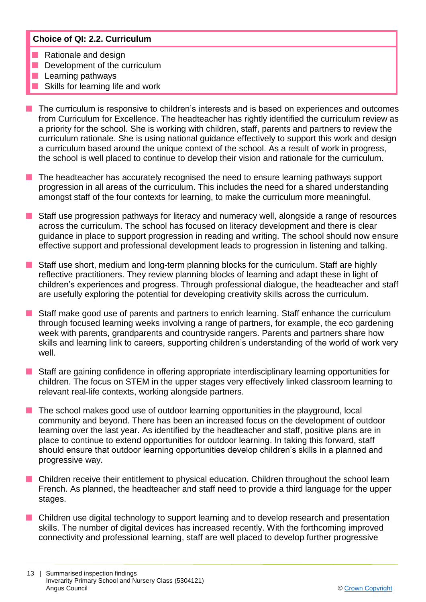# **Choice of QI: 2.2. Curriculum**

- $\blacksquare$  Rationale and design
- $\blacksquare$  Development of the curriculum
- Learning pathways
- Skills for learning life and work
- $\blacksquare$  The curriculum is responsive to children's interests and is based on experiences and outcomes from Curriculum for Excellence. The headteacher has rightly identified the curriculum review as a priority for the school. She is working with children, staff, parents and partners to review the curriculum rationale. She is using national guidance effectively to support this work and design a curriculum based around the unique context of the school. As a result of work in progress, the school is well placed to continue to develop their vision and rationale for the curriculum.
- The headteacher has accurately recognised the need to ensure learning pathways support progression in all areas of the curriculum. This includes the need for a shared understanding amongst staff of the four contexts for learning, to make the curriculum more meaningful.
- **n** Staff use progression pathways for literacy and numeracy well, alongside a range of resources across the curriculum. The school has focused on literacy development and there is clear guidance in place to support progression in reading and writing. The school should now ensure effective support and professional development leads to progression in listening and talking.
- **n** Staff use short, medium and long-term planning blocks for the curriculum. Staff are highly reflective practitioners. They review planning blocks of learning and adapt these in light of children's experiences and progress. Through professional dialogue, the headteacher and staff are usefully exploring the potential for developing creativity skills across the curriculum.
- Staff make good use of parents and partners to enrich learning. Staff enhance the curriculum through focused learning weeks involving a range of partners, for example, the eco gardening week with parents, grandparents and countryside rangers. Parents and partners share how skills and learning link to careers, supporting children's understanding of the world of work very well.
- Staff are gaining confidence in offering appropriate interdisciplinary learning opportunities for children. The focus on STEM in the upper stages very effectively linked classroom learning to relevant real-life contexts, working alongside partners.
- The school makes good use of outdoor learning opportunities in the playground, local community and beyond. There has been an increased focus on the development of outdoor learning over the last year. As identified by the headteacher and staff, positive plans are in place to continue to extend opportunities for outdoor learning. In taking this forward, staff should ensure that outdoor learning opportunities develop children's skills in a planned and progressive way.
- Children receive their entitlement to physical education. Children throughout the school learn French. As planned, the headteacher and staff need to provide a third language for the upper stages.
- Children use digital technology to support learning and to develop research and presentation skills. The number of digital devices has increased recently. With the forthcoming improved connectivity and professional learning, staff are well placed to develop further progressive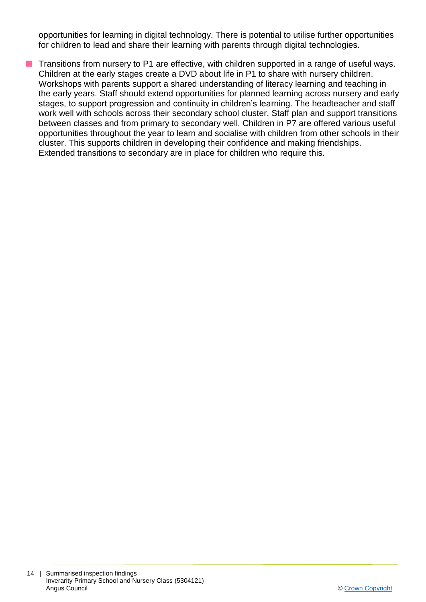opportunities for learning in digital technology. There is potential to utilise further opportunities for children to lead and share their learning with parents through digital technologies.

**T** Transitions from nursery to P1 are effective, with children supported in a range of useful ways. Children at the early stages create a DVD about life in P1 to share with nursery children. Workshops with parents support a shared understanding of literacy learning and teaching in the early years. Staff should extend opportunities for planned learning across nursery and early stages, to support progression and continuity in children's learning. The headteacher and staff work well with schools across their secondary school cluster. Staff plan and support transitions between classes and from primary to secondary well. Children in P7 are offered various useful opportunities throughout the year to learn and socialise with children from other schools in their cluster. This supports children in developing their confidence and making friendships. Extended transitions to secondary are in place for children who require this.